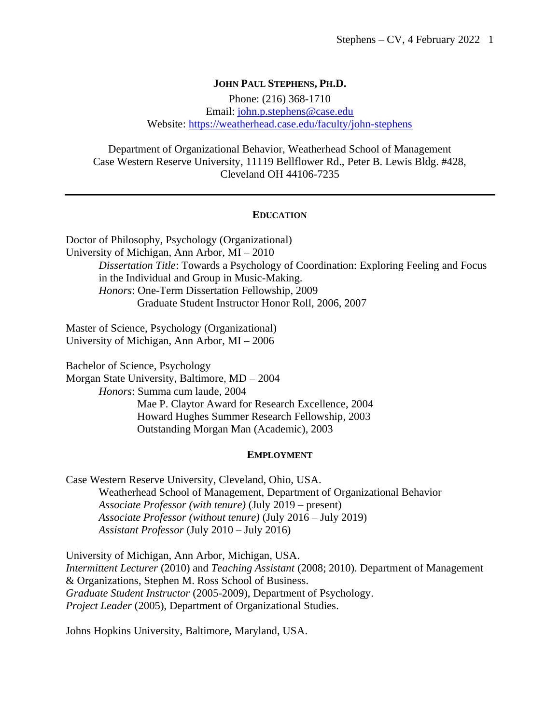#### **JOHN PAUL STEPHENS, PH.D.**

Phone: (216) 368-1710 Email: [john.p.stephens@case.edu](mailto:john.p.stephens@case.edu) Website:<https://weatherhead.case.edu/faculty/john-stephens>

Department of Organizational Behavior, Weatherhead School of Management Case Western Reserve University, 11119 Bellflower Rd., Peter B. Lewis Bldg. #428, Cleveland OH 44106-7235

#### **EDUCATION**

Doctor of Philosophy, Psychology (Organizational) University of Michigan, Ann Arbor, MI – 2010 *Dissertation Title*: Towards a Psychology of Coordination: Exploring Feeling and Focus in the Individual and Group in Music-Making. *Honors*: One-Term Dissertation Fellowship, 2009 Graduate Student Instructor Honor Roll, 2006, 2007

Master of Science, Psychology (Organizational) University of Michigan, Ann Arbor, MI – 2006

Bachelor of Science, Psychology Morgan State University, Baltimore, MD – 2004 *Honors*: Summa cum laude, 2004 Mae P. Claytor Award for Research Excellence, 2004 Howard Hughes Summer Research Fellowship, 2003 Outstanding Morgan Man (Academic), 2003

#### **EMPLOYMENT**

Case Western Reserve University, Cleveland, Ohio, USA. Weatherhead School of Management, Department of Organizational Behavior *Associate Professor (with tenure)* (July 2019 – present) *Associate Professor (without tenure)* (July 2016 – July 2019) *Assistant Professor* (July 2010 – July 2016)

University of Michigan, Ann Arbor, Michigan, USA. *Intermittent Lecturer* (2010) and *Teaching Assistant* (2008; 2010). Department of Management & Organizations, Stephen M. Ross School of Business. *Graduate Student Instructor* (2005-2009), Department of Psychology. *Project Leader* (2005), Department of Organizational Studies.

Johns Hopkins University, Baltimore, Maryland, USA.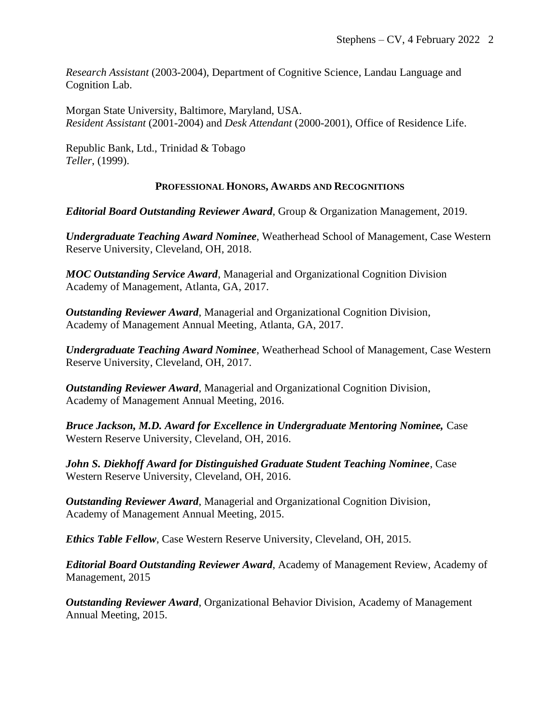*Research Assistant* (2003-2004), Department of Cognitive Science, Landau Language and Cognition Lab.

Morgan State University, Baltimore, Maryland, USA. *Resident Assistant* (2001-2004) and *Desk Attendant* (2000-2001), Office of Residence Life.

Republic Bank, Ltd., Trinidad & Tobago *Teller*, (1999).

### **PROFESSIONAL HONORS, AWARDS AND RECOGNITIONS**

*Editorial Board Outstanding Reviewer Award*, Group & Organization Management, 2019.

*Undergraduate Teaching Award Nominee*, Weatherhead School of Management, Case Western Reserve University, Cleveland, OH, 2018.

*MOC Outstanding Service Award*, Managerial and Organizational Cognition Division Academy of Management, Atlanta, GA, 2017.

*Outstanding Reviewer Award*, Managerial and Organizational Cognition Division, Academy of Management Annual Meeting, Atlanta, GA, 2017.

*Undergraduate Teaching Award Nominee*, Weatherhead School of Management, Case Western Reserve University, Cleveland, OH, 2017.

*Outstanding Reviewer Award*, Managerial and Organizational Cognition Division, Academy of Management Annual Meeting, 2016.

*Bruce Jackson, M.D. Award for Excellence in Undergraduate Mentoring Nominee,* Case Western Reserve University, Cleveland, OH, 2016.

*John S. Diekhoff Award for Distinguished Graduate Student Teaching Nominee*, Case Western Reserve University, Cleveland, OH, 2016.

*Outstanding Reviewer Award*, Managerial and Organizational Cognition Division, Academy of Management Annual Meeting, 2015.

*Ethics Table Fellow*, Case Western Reserve University, Cleveland, OH, 2015.

*Editorial Board Outstanding Reviewer Award*, Academy of Management Review, Academy of Management, 2015

*Outstanding Reviewer Award*, Organizational Behavior Division, Academy of Management Annual Meeting, 2015.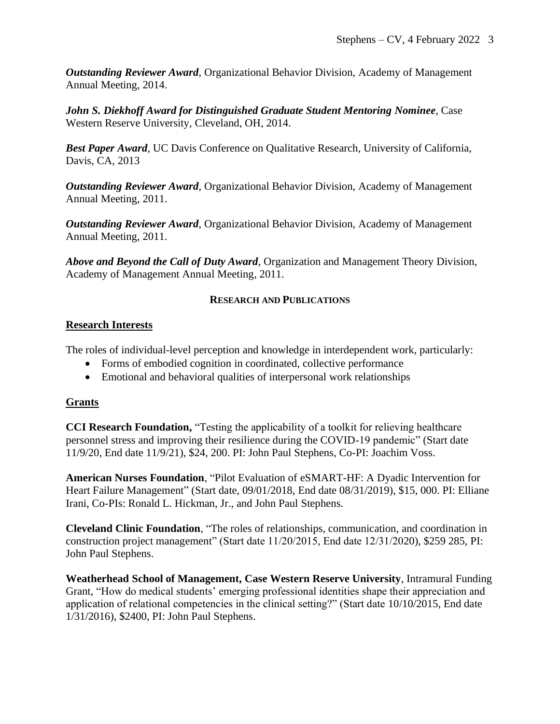*Outstanding Reviewer Award*, Organizational Behavior Division, Academy of Management Annual Meeting, 2014.

*John S. Diekhoff Award for Distinguished Graduate Student Mentoring Nominee*, Case Western Reserve University, Cleveland, OH, 2014.

*Best Paper Award*, UC Davis Conference on Qualitative Research, University of California, Davis, CA, 2013

*Outstanding Reviewer Award*, Organizational Behavior Division, Academy of Management Annual Meeting, 2011.

*Outstanding Reviewer Award*, Organizational Behavior Division, Academy of Management Annual Meeting, 2011.

*Above and Beyond the Call of Duty Award*, Organization and Management Theory Division, Academy of Management Annual Meeting, 2011.

### **RESEARCH AND PUBLICATIONS**

### **Research Interests**

The roles of individual-level perception and knowledge in interdependent work, particularly:

- Forms of embodied cognition in coordinated, collective performance
- Emotional and behavioral qualities of interpersonal work relationships

#### **Grants**

**CCI Research Foundation,** "Testing the applicability of a toolkit for relieving healthcare personnel stress and improving their resilience during the COVID-19 pandemic" (Start date 11/9/20, End date 11/9/21), \$24, 200. PI: John Paul Stephens, Co-PI: Joachim Voss.

**American Nurses Foundation**, "Pilot Evaluation of eSMART-HF: A Dyadic Intervention for Heart Failure Management" (Start date, 09/01/2018, End date 08/31/2019), \$15, 000. PI: Elliane Irani, Co-PIs: Ronald L. Hickman, Jr., and John Paul Stephens.

**Cleveland Clinic Foundation**, "The roles of relationships, communication, and coordination in construction project management" (Start date 11/20/2015, End date 12/31/2020), \$259 285, PI: John Paul Stephens.

**Weatherhead School of Management, Case Western Reserve University**, Intramural Funding Grant, "How do medical students' emerging professional identities shape their appreciation and application of relational competencies in the clinical setting?" (Start date 10/10/2015, End date 1/31/2016), \$2400, PI: John Paul Stephens.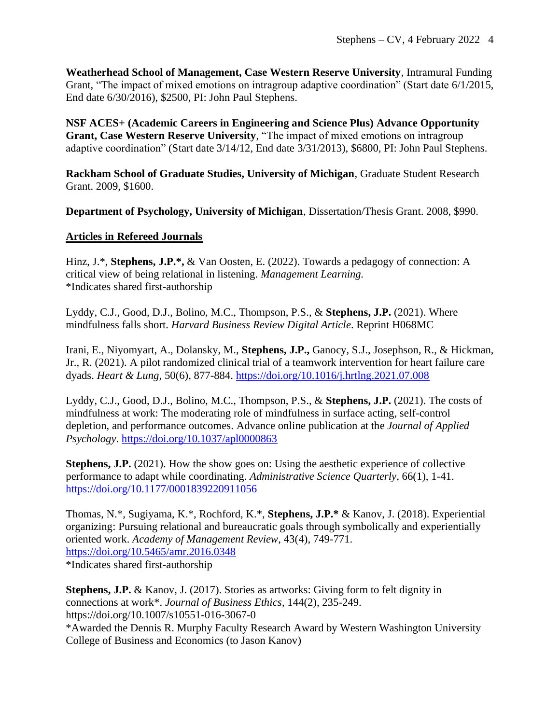**Weatherhead School of Management, Case Western Reserve University**, Intramural Funding Grant, "The impact of mixed emotions on intragroup adaptive coordination" (Start date 6/1/2015, End date 6/30/2016), \$2500, PI: John Paul Stephens.

**NSF ACES+ (Academic Careers in Engineering and Science Plus) Advance Opportunity Grant, Case Western Reserve University**, "The impact of mixed emotions on intragroup adaptive coordination" (Start date 3/14/12, End date 3/31/2013), \$6800, PI: John Paul Stephens.

**Rackham School of Graduate Studies, University of Michigan**, Graduate Student Research Grant. 2009, \$1600.

**Department of Psychology, University of Michigan**, Dissertation/Thesis Grant. 2008, \$990.

### **Articles in Refereed Journals**

Hinz, J.\*, **Stephens, J.P.\*,** & Van Oosten, E. (2022). Towards a pedagogy of connection: A critical view of being relational in listening. *Management Learning.* \*Indicates shared first-authorship

Lyddy, C.J., Good, D.J., Bolino, M.C., Thompson, P.S., & **Stephens, J.P.** (2021). Where mindfulness falls short. *Harvard Business Review Digital Article*. Reprint H068MC

Irani, E., Niyomyart, A., Dolansky, M., **Stephens, J.P.,** Ganocy, S.J., Josephson, R., & Hickman, Jr., R. (2021). A pilot randomized clinical trial of a teamwork intervention for heart failure care dyads. *Heart & Lung,* 50(6), 877-884. <https://doi.org/10.1016/j.hrtlng.2021.07.008>

Lyddy, C.J., Good, D.J., Bolino, M.C., Thompson, P.S., & **Stephens, J.P.** (2021). The costs of mindfulness at work: The moderating role of mindfulness in surface acting, self-control depletion, and performance outcomes. Advance online publication at the *Journal of Applied Psychology*. [https://doi.org/10.1037/apl0000863](https://psycnet.apa.org/doi/10.1037/apl0000863)

**Stephens, J.P.** (2021). How the show goes on: Using the aesthetic experience of collective performance to adapt while coordinating. *Administrative Science Quarterly*, 66(1), 1-41. <https://doi.org/10.1177/0001839220911056>

Thomas, N.\*, Sugiyama, K.\*, Rochford, K.\*, **Stephens, J.P.\*** & Kanov, J. (2018). Experiential organizing: Pursuing relational and bureaucratic goals through symbolically and experientially oriented work. *Academy of Management Review*, 43(4), 749-771. <https://doi.org/10.5465/amr.2016.0348>

\*Indicates shared first-authorship

**Stephens, J.P.** & Kanov, J. (2017). Stories as artworks: Giving form to felt dignity in connections at work\*. *Journal of Business Ethics*, 144(2), 235-249. https://doi.org/10.1007/s10551-016-3067-0 \*Awarded the Dennis R. Murphy Faculty Research Award by Western Washington University College of Business and Economics (to Jason Kanov)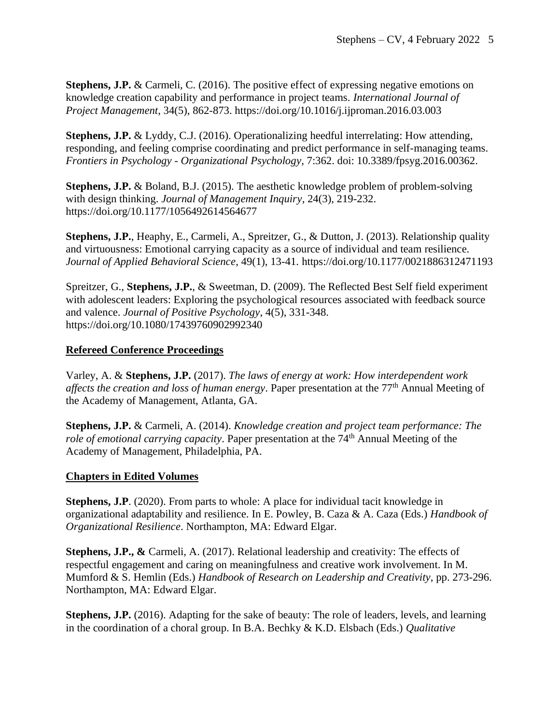**Stephens, J.P.** & Carmeli, C. (2016). The positive effect of expressing negative emotions on knowledge creation capability and performance in project teams. *International Journal of Project Management*, 34(5), 862-873. https://doi.org/10.1016/j.ijproman.2016.03.003

**Stephens, J.P.** & Lyddy, C.J. (2016). Operationalizing heedful interrelating: How attending, responding, and feeling comprise coordinating and predict performance in self-managing teams. *Frontiers in Psychology - Organizational Psychology*, 7:362. doi: 10.3389/fpsyg.2016.00362.

**Stephens, J.P.** & Boland, B.J. (2015). The aesthetic knowledge problem of problem-solving with design thinking. *Journal of Management Inquiry*, 24(3), 219-232. https://doi.org/10.1177/1056492614564677

**Stephens, J.P.**, Heaphy, E., Carmeli, A., Spreitzer, G., & Dutton, J. (2013). Relationship quality and virtuousness: Emotional carrying capacity as a source of individual and team resilience. *Journal of Applied Behavioral Science*, 49(1), 13-41. https://doi.org/10.1177/0021886312471193

Spreitzer, G., **Stephens, J.P.**, & Sweetman, D. (2009). The Reflected Best Self field experiment with adolescent leaders: Exploring the psychological resources associated with feedback source and valence. *Journal of Positive Psychology*, 4(5), 331-348. https://doi.org/10.1080/17439760902992340

# **Refereed Conference Proceedings**

Varley, A. & **Stephens, J.P.** (2017). *The laws of energy at work: How interdependent work affects the creation and loss of human energy*. Paper presentation at the 77<sup>th</sup> Annual Meeting of the Academy of Management, Atlanta, GA.

**Stephens, J.P.** & Carmeli, A. (2014). *Knowledge creation and project team performance: The role of emotional carrying capacity*. Paper presentation at the 74<sup>th</sup> Annual Meeting of the Academy of Management, Philadelphia, PA.

## **Chapters in Edited Volumes**

**Stephens, J.P.** (2020). From parts to whole: A place for individual tacit knowledge in organizational adaptability and resilience. In E. Powley, B. Caza & A. Caza (Eds.) *Handbook of Organizational Resilience*. Northampton, MA: Edward Elgar.

**Stephens, J.P., &** Carmeli, A. (2017). Relational leadership and creativity: The effects of respectful engagement and caring on meaningfulness and creative work involvement. In M. Mumford & S. Hemlin (Eds.) *Handbook of Research on Leadership and Creativity*, pp. 273-296. Northampton, MA: Edward Elgar.

**Stephens, J.P.** (2016). Adapting for the sake of beauty: The role of leaders, levels, and learning in the coordination of a choral group. In B.A. Bechky & K.D. Elsbach (Eds.) *Qualitative*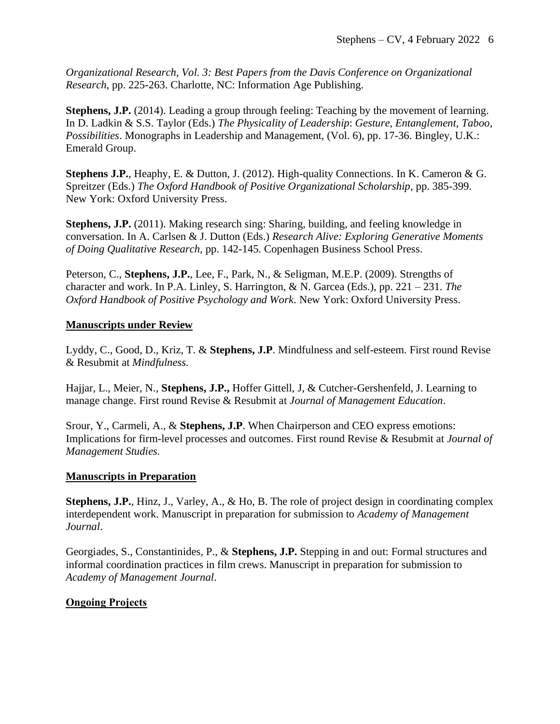*Organizational Research, Vol. 3: Best Papers from the Davis Conference on Organizational Research*, pp. 225-263. Charlotte, NC: Information Age Publishing.

**Stephens, J.P.** (2014). Leading a group through feeling: Teaching by the movement of learning. In D. Ladkin & S.S. Taylor (Eds.) *The Physicality of Leadership*: *Gesture, Entanglement, Taboo, Possibilities*. Monographs in Leadership and Management, (Vol. 6), pp. 17-36. Bingley, U.K.: Emerald Group.

**Stephens J.P.**, Heaphy, E. & Dutton, J. (2012). High-quality Connections. In K. Cameron & G. Spreitzer (Eds.) *The Oxford Handbook of Positive Organizational Scholarship*, pp. 385-399. New York: Oxford University Press.

**Stephens, J.P.** (2011). Making research sing: Sharing, building, and feeling knowledge in conversation. In A. Carlsen & J. Dutton (Eds.) *Research Alive: Exploring Generative Moments of Doing Qualitative Research,* pp. 142-145*.* Copenhagen Business School Press.

Peterson, C., **Stephens, J.P.**, Lee, F., Park, N., & Seligman, M.E.P. (2009). Strengths of character and work. In P.A. Linley, S. Harrington, & N. Garcea (Eds.), pp. 221 – 231. *The Oxford Handbook of Positive Psychology and Work*. New York: Oxford University Press.

### **Manuscripts under Review**

Lyddy, C., Good, D., Kriz, T. & **Stephens, J.P**. Mindfulness and self-esteem. First round Revise & Resubmit at *Mindfulness.*

Hajjar, L., Meier, N., **Stephens, J.P.,** Hoffer Gittell, J, & Cutcher-Gershenfeld, J. Learning to manage change. First round Revise & Resubmit at *Journal of Management Education*.

Srour, Y., Carmeli, A., & **Stephens, J.P**. When Chairperson and CEO express emotions: Implications for firm-level processes and outcomes. First round Revise & Resubmit at *Journal of Management Studies.*

#### **Manuscripts in Preparation**

**Stephens, J.P.**, Hinz, J., Varley, A., & Ho, B. The role of project design in coordinating complex interdependent work. Manuscript in preparation for submission to *Academy of Management Journal*.

Georgiades, S., Constantinides, P., & **Stephens, J.P.** Stepping in and out: Formal structures and informal coordination practices in film crews. Manuscript in preparation for submission to *Academy of Management Journal*.

## **Ongoing Projects**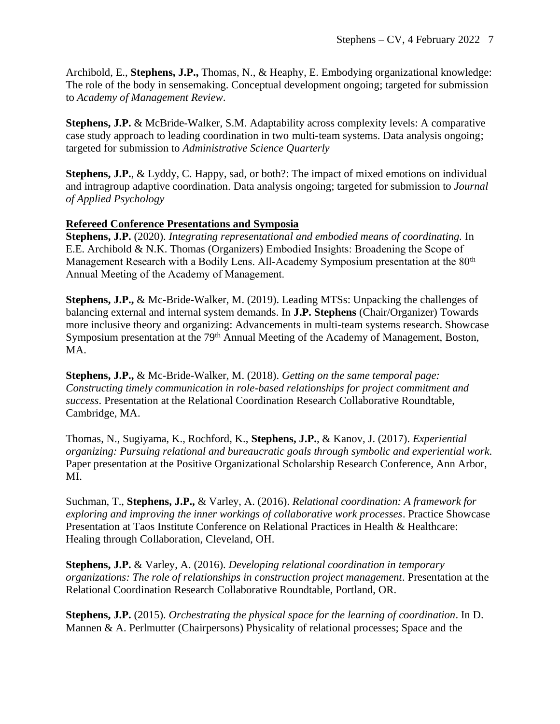Archibold, E., **Stephens, J.P.,** Thomas, N., & Heaphy, E. Embodying organizational knowledge: The role of the body in sensemaking. Conceptual development ongoing; targeted for submission to *Academy of Management Review*.

**Stephens, J.P.** & McBride-Walker, S.M. Adaptability across complexity levels: A comparative case study approach to leading coordination in two multi-team systems. Data analysis ongoing; targeted for submission to *Administrative Science Quarterly*

**Stephens, J.P.**, & Lyddy, C. Happy, sad, or both?: The impact of mixed emotions on individual and intragroup adaptive coordination. Data analysis ongoing; targeted for submission to *Journal of Applied Psychology*

# **Refereed Conference Presentations and Symposia**

**Stephens, J.P.** (2020). *Integrating representational and embodied means of coordinating.* In E.E. Archibold & N.K. Thomas (Organizers) Embodied Insights: Broadening the Scope of Management Research with a Bodily Lens. All-Academy Symposium presentation at the 80<sup>th</sup> Annual Meeting of the Academy of Management.

**Stephens, J.P.,** & Mc-Bride-Walker, M. (2019). Leading MTSs: Unpacking the challenges of balancing external and internal system demands. In **J.P. Stephens** (Chair/Organizer) Towards more inclusive theory and organizing: Advancements in multi-team systems research. Showcase Symposium presentation at the 79<sup>th</sup> Annual Meeting of the Academy of Management, Boston, MA.

**Stephens, J.P.,** & Mc-Bride-Walker, M. (2018). *Getting on the same temporal page: Constructing timely communication in role-based relationships for project commitment and success*. Presentation at the Relational Coordination Research Collaborative Roundtable, Cambridge, MA.

Thomas, N., Sugiyama, K., Rochford, K., **Stephens, J.P.**, & Kanov, J. (2017). *Experiential organizing: Pursuing relational and bureaucratic goals through symbolic and experiential work*. Paper presentation at the Positive Organizational Scholarship Research Conference, Ann Arbor, MI.

Suchman, T., **Stephens, J.P.,** & Varley, A. (2016). *Relational coordination: A framework for exploring and improving the inner workings of collaborative work processes*. Practice Showcase Presentation at Taos Institute Conference on Relational Practices in Health & Healthcare: Healing through Collaboration, Cleveland, OH.

**Stephens, J.P.** & Varley, A. (2016). *Developing relational coordination in temporary organizations: The role of relationships in construction project management*. Presentation at the Relational Coordination Research Collaborative Roundtable, Portland, OR.

**Stephens, J.P.** (2015). *Orchestrating the physical space for the learning of coordination*. In D. Mannen & A. Perlmutter (Chairpersons) Physicality of relational processes; Space and the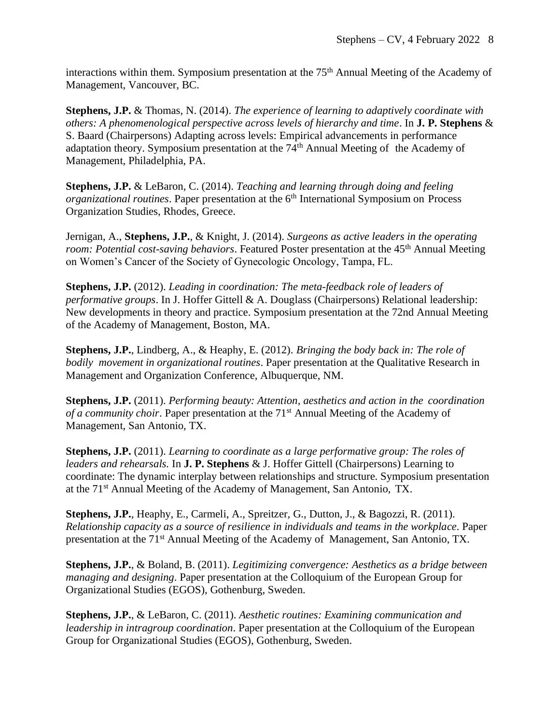interactions within them. Symposium presentation at the 75<sup>th</sup> Annual Meeting of the Academy of Management, Vancouver, BC.

**Stephens, J.P.** & Thomas, N. (2014). *The experience of learning to adaptively coordinate with others: A phenomenological perspective across levels of hierarchy and time*. In **J. P. Stephens** & S. Baard (Chairpersons) Adapting across levels: Empirical advancements in performance adaptation theory. Symposium presentation at the 74th Annual Meeting of the Academy of Management, Philadelphia, PA.

**Stephens, J.P.** & LeBaron, C. (2014). *Teaching and learning through doing and feeling organizational routines.* Paper presentation at the 6<sup>th</sup> International Symposium on Process Organization Studies, Rhodes, Greece.

Jernigan, A., **Stephens, J.P.**, & Knight, J. (2014). *Surgeons as active leaders in the operating room: Potential cost-saving behaviors.* Featured Poster presentation at the 45<sup>th</sup> Annual Meeting on Women's Cancer of the Society of Gynecologic Oncology, Tampa, FL.

**Stephens, J.P.** (2012). *Leading in coordination: The meta-feedback role of leaders of performative groups*. In J. Hoffer Gittell & A. Douglass (Chairpersons) Relational leadership: New developments in theory and practice. Symposium presentation at the 72nd Annual Meeting of the Academy of Management, Boston, MA.

**Stephens, J.P.**, Lindberg, A., & Heaphy, E. (2012). *Bringing the body back in: The role of bodily movement in organizational routines*. Paper presentation at the Qualitative Research in Management and Organization Conference, Albuquerque, NM.

**Stephens, J.P.** (2011). *Performing beauty: Attention, aesthetics and action in the coordination of a community choir.* Paper presentation at the 71<sup>st</sup> Annual Meeting of the Academy of Management, San Antonio, TX.

**Stephens, J.P.** (2011). *Learning to coordinate as a large performative group: The roles of leaders and rehearsals.* In **J. P. Stephens** & J. Hoffer Gittell (Chairpersons) Learning to coordinate: The dynamic interplay between relationships and structure. Symposium presentation at the 71st Annual Meeting of the Academy of Management, San Antonio, TX.

**Stephens, J.P.**, Heaphy, E., Carmeli, A., Spreitzer, G., Dutton, J., & Bagozzi, R. (2011). *Relationship capacity as a source of resilience in individuals and teams in the workplace*. Paper presentation at the 71st Annual Meeting of the Academy of Management, San Antonio, TX.

**Stephens, J.P.**, & Boland, B. (2011). *Legitimizing convergence: Aesthetics as a bridge between managing and designing*. Paper presentation at the Colloquium of the European Group for Organizational Studies (EGOS), Gothenburg, Sweden.

**Stephens, J.P.**, & LeBaron, C. (2011). *Aesthetic routines: Examining communication and leadership in intragroup coordination*. Paper presentation at the Colloquium of the European Group for Organizational Studies (EGOS), Gothenburg, Sweden.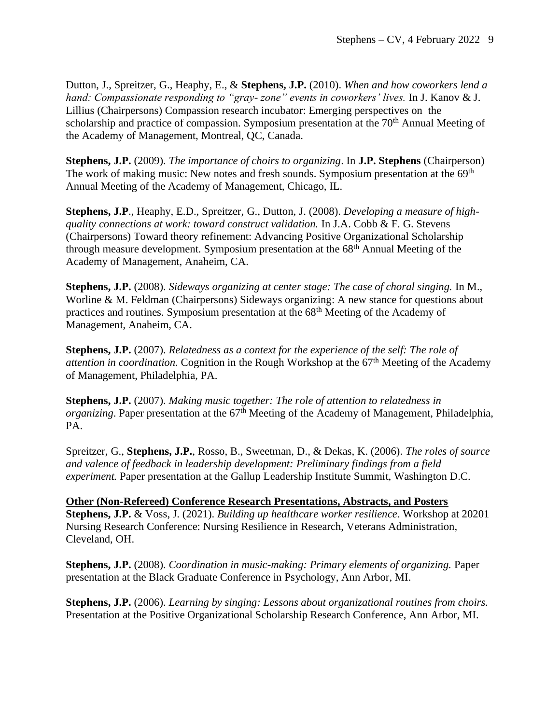Dutton, J., Spreitzer, G., Heaphy, E., & **Stephens, J.P.** (2010). *When and how coworkers lend a hand: Compassionate responding to "gray- zone" events in coworkers' lives.* In J. Kanov & J. Lillius (Chairpersons) Compassion research incubator: Emerging perspectives on the scholarship and practice of compassion. Symposium presentation at the 70<sup>th</sup> Annual Meeting of the Academy of Management, Montreal, QC, Canada.

**Stephens, J.P.** (2009). *The importance of choirs to organizing*. In **J.P. Stephens** (Chairperson) The work of making music: New notes and fresh sounds. Symposium presentation at the 69<sup>th</sup> Annual Meeting of the Academy of Management, Chicago, IL.

**Stephens, J.P**., Heaphy, E.D., Spreitzer, G., Dutton, J. (2008). *Developing a measure of highquality connections at work: toward construct validation.* In J.A. Cobb & F. G. Stevens (Chairpersons) Toward theory refinement: Advancing Positive Organizational Scholarship through measure development. Symposium presentation at the 68<sup>th</sup> Annual Meeting of the Academy of Management, Anaheim, CA.

**Stephens, J.P.** (2008). *Sideways organizing at center stage: The case of choral singing.* In M., Worline & M. Feldman (Chairpersons) Sideways organizing: A new stance for questions about practices and routines. Symposium presentation at the 68th Meeting of the Academy of Management, Anaheim, CA.

**Stephens, J.P.** (2007). *Relatedness as a context for the experience of the self: The role of attention in coordination.* Cognition in the Rough Workshop at the 67<sup>th</sup> Meeting of the Academy of Management, Philadelphia, PA.

**Stephens, J.P.** (2007). *Making music together: The role of attention to relatedness in organizing*. Paper presentation at the 67<sup>th</sup> Meeting of the Academy of Management, Philadelphia, PA.

Spreitzer, G., **Stephens, J.P.**, Rosso, B., Sweetman, D., & Dekas, K. (2006). *The roles of source and valence of feedback in leadership development: Preliminary findings from a field experiment.* Paper presentation at the Gallup Leadership Institute Summit, Washington D.C.

**Other (Non-Refereed) Conference Research Presentations, Abstracts, and Posters Stephens, J.P.** & Voss, J. (2021). *Building up healthcare worker resilience*. Workshop at 20201 Nursing Research Conference: Nursing Resilience in Research, Veterans Administration, Cleveland, OH.

**Stephens, J.P.** (2008). *Coordination in music-making: Primary elements of organizing.* Paper presentation at the Black Graduate Conference in Psychology, Ann Arbor, MI.

**Stephens, J.P.** (2006). *Learning by singing: Lessons about organizational routines from choirs.* Presentation at the Positive Organizational Scholarship Research Conference, Ann Arbor, MI.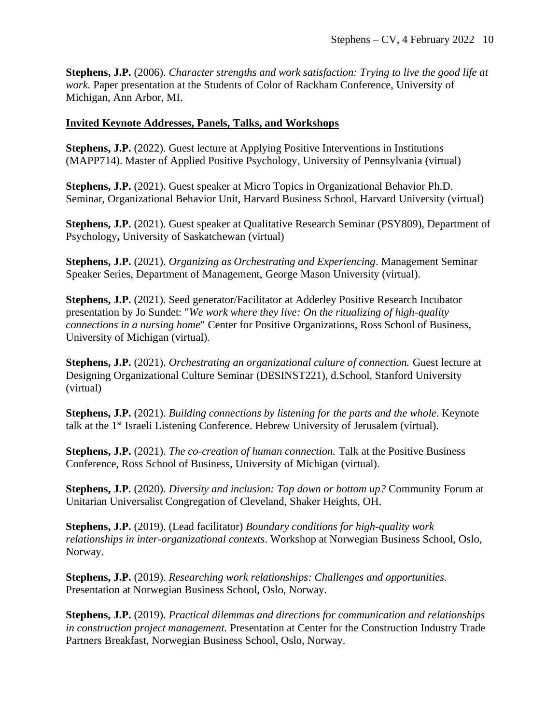**Stephens, J.P.** (2006). *Character strengths and work satisfaction: Trying to live the good life at work.* Paper presentation at the Students of Color of Rackham Conference, University of Michigan, Ann Arbor, MI.

#### **Invited Keynote Addresses, Panels, Talks, and Workshops**

**Stephens, J.P.** (2022). Guest lecture at Applying Positive Interventions in Institutions (MAPP714). Master of Applied Positive Psychology, University of Pennsylvania (virtual)

**Stephens, J.P.** (2021). Guest speaker at Micro Topics in Organizational Behavior Ph.D. Seminar, Organizational Behavior Unit, Harvard Business School, Harvard University (virtual)

**Stephens, J.P.** (2021). Guest speaker at Qualitative Research Seminar (PSY809), Department of Psychology**,** University of Saskatchewan (virtual)

**Stephens, J.P.** (2021). *Organizing as Orchestrating and Experiencing*. Management Seminar Speaker Series, Department of Management, George Mason University (virtual).

**Stephens, J.P.** (2021). Seed generator/Facilitator at Adderley Positive Research Incubator presentation by Jo Sundet: "*We work where they live: On the ritualizing of high-quality connections in a nursing home*" Center for Positive Organizations, Ross School of Business, University of Michigan (virtual).

**Stephens, J.P.** (2021). *Orchestrating an organizational culture of connection.* Guest lecture at Designing Organizational Culture Seminar (DESINST221), d.School, Stanford University (virtual)

**Stephens, J.P.** (2021). *Building connections by listening for the parts and the whole*. Keynote talk at the 1st Israeli Listening Conference. Hebrew University of Jerusalem (virtual).

**Stephens, J.P.** (2021). *The co-creation of human connection.* Talk at the Positive Business Conference, Ross School of Business, University of Michigan (virtual).

**Stephens, J.P.** (2020). *Diversity and inclusion: Top down or bottom up?* Community Forum at Unitarian Universalist Congregation of Cleveland, Shaker Heights, OH.

**Stephens, J.P.** (2019). (Lead facilitator) *Boundary conditions for high-quality work relationships in inter-organizational contexts*. Workshop at Norwegian Business School, Oslo, Norway.

**Stephens, J.P.** (2019). *Researching work relationships: Challenges and opportunities.* Presentation at Norwegian Business School, Oslo, Norway.

**Stephens, J.P.** (2019). *Practical dilemmas and directions for communication and relationships in construction project management.* Presentation at Center for the Construction Industry Trade Partners Breakfast, Norwegian Business School, Oslo, Norway.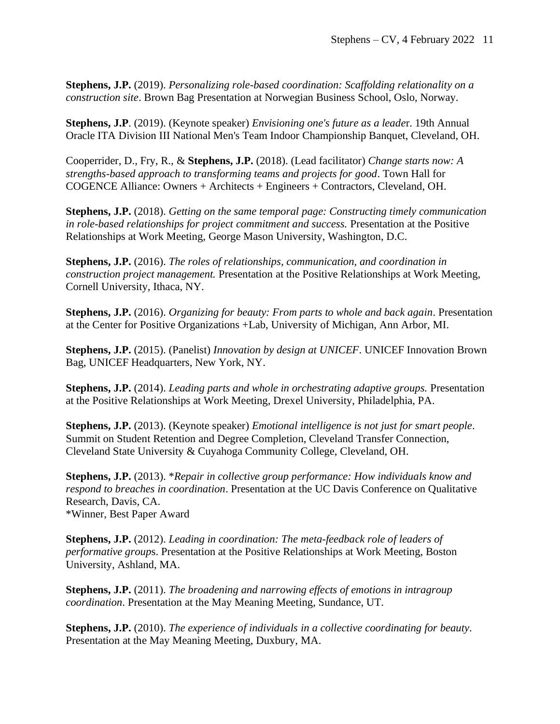**Stephens, J.P.** (2019). *Personalizing role-based coordination: Scaffolding relationality on a construction site*. Brown Bag Presentation at Norwegian Business School, Oslo, Norway.

**Stephens, J.P**. (2019). (Keynote speaker) *Envisioning one's future as a leade*r. 19th Annual Oracle ITA Division III National Men's Team Indoor Championship Banquet, Cleveland, OH.

Cooperrider, D., Fry, R., & **Stephens, J.P.** (2018). (Lead facilitator) *Change starts now: A strengths-based approach to transforming teams and projects for good*. Town Hall for COGENCE Alliance: Owners + Architects + Engineers + Contractors, Cleveland, OH.

**Stephens, J.P.** (2018). *Getting on the same temporal page: Constructing timely communication in role-based relationships for project commitment and success.* Presentation at the Positive Relationships at Work Meeting, George Mason University, Washington, D.C.

**Stephens, J.P.** (2016). *The roles of relationships, communication, and coordination in construction project management.* Presentation at the Positive Relationships at Work Meeting, Cornell University, Ithaca, NY.

**Stephens, J.P.** (2016). *Organizing for beauty: From parts to whole and back again*. Presentation at the Center for Positive Organizations +Lab, University of Michigan, Ann Arbor, MI.

**Stephens, J.P.** (2015). (Panelist) *Innovation by design at UNICEF*. UNICEF Innovation Brown Bag, UNICEF Headquarters, New York, NY.

**Stephens, J.P.** (2014). *Leading parts and whole in orchestrating adaptive groups.* Presentation at the Positive Relationships at Work Meeting, Drexel University, Philadelphia, PA.

**Stephens, J.P.** (2013). (Keynote speaker) *Emotional intelligence is not just for smart people*. Summit on Student Retention and Degree Completion, Cleveland Transfer Connection, Cleveland State University & Cuyahoga Community College, Cleveland, OH.

**Stephens, J.P.** (2013). \**Repair in collective group performance: How individuals know and respond to breaches in coordination*. Presentation at the UC Davis Conference on Qualitative Research, Davis, CA. \*Winner, Best Paper Award

**Stephens, J.P.** (2012). *Leading in coordination: The meta-feedback role of leaders of performative group*s. Presentation at the Positive Relationships at Work Meeting, Boston University, Ashland, MA.

**Stephens, J.P.** (2011). *The broadening and narrowing effects of emotions in intragroup coordination*. Presentation at the May Meaning Meeting, Sundance, UT.

**Stephens, J.P.** (2010). *The experience of individuals in a collective coordinating for beauty*. Presentation at the May Meaning Meeting, Duxbury, MA.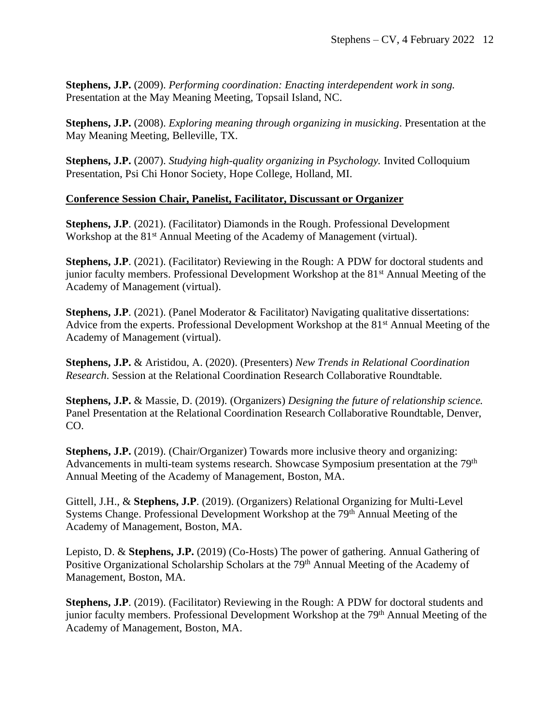**Stephens, J.P.** (2009). *Performing coordination: Enacting interdependent work in song.*  Presentation at the May Meaning Meeting, Topsail Island, NC.

**Stephens, J.P.** (2008). *Exploring meaning through organizing in musicking*. Presentation at the May Meaning Meeting, Belleville, TX.

**Stephens, J.P.** (2007). *Studying high-quality organizing in Psychology.* Invited Colloquium Presentation, Psi Chi Honor Society, Hope College, Holland, MI.

## **Conference Session Chair, Panelist, Facilitator, Discussant or Organizer**

**Stephens, J.P.** (2021). (Facilitator) Diamonds in the Rough. Professional Development Workshop at the 81<sup>st</sup> Annual Meeting of the Academy of Management (virtual).

**Stephens, J.P**. (2021). (Facilitator) Reviewing in the Rough: A PDW for doctoral students and junior faculty members. Professional Development Workshop at the 81<sup>st</sup> Annual Meeting of the Academy of Management (virtual).

**Stephens, J.P**. (2021). (Panel Moderator & Facilitator) Navigating qualitative dissertations: Advice from the experts. Professional Development Workshop at the  $81<sup>st</sup>$  Annual Meeting of the Academy of Management (virtual).

**Stephens, J.P.** & Aristidou, A. (2020). (Presenters) *New Trends in Relational Coordination Research*. Session at the Relational Coordination Research Collaborative Roundtable.

**Stephens, J.P.** & Massie, D. (2019). (Organizers) *Designing the future of relationship science.* Panel Presentation at the Relational Coordination Research Collaborative Roundtable, Denver, CO.

**Stephens, J.P.** (2019). (Chair/Organizer) Towards more inclusive theory and organizing: Advancements in multi-team systems research. Showcase Symposium presentation at the 79<sup>th</sup> Annual Meeting of the Academy of Management, Boston, MA.

Gittell, J.H., & **Stephens, J.P**. (2019). (Organizers) Relational Organizing for Multi-Level Systems Change. Professional Development Workshop at the 79<sup>th</sup> Annual Meeting of the Academy of Management, Boston, MA.

Lepisto, D. & **Stephens, J.P.** (2019) (Co-Hosts) The power of gathering. Annual Gathering of Positive Organizational Scholarship Scholars at the 79<sup>th</sup> Annual Meeting of the Academy of Management, Boston, MA.

**Stephens, J.P**. (2019). (Facilitator) Reviewing in the Rough: A PDW for doctoral students and junior faculty members. Professional Development Workshop at the 79<sup>th</sup> Annual Meeting of the Academy of Management, Boston, MA.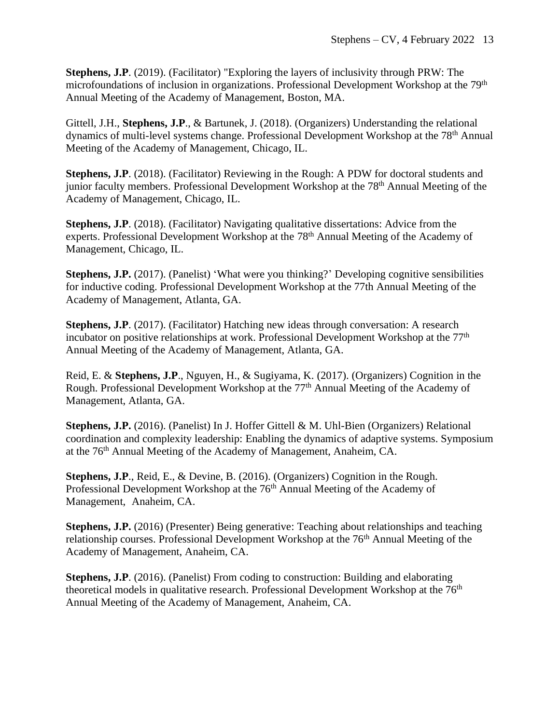**Stephens, J.P**. (2019). (Facilitator) "Exploring the layers of inclusivity through PRW: The microfoundations of inclusion in organizations. Professional Development Workshop at the 79<sup>th</sup> Annual Meeting of the Academy of Management, Boston, MA.

Gittell, J.H., **Stephens, J.P**., & Bartunek, J. (2018). (Organizers) Understanding the relational dynamics of multi-level systems change. Professional Development Workshop at the 78<sup>th</sup> Annual Meeting of the Academy of Management, Chicago, IL.

**Stephens, J.P.** (2018). (Facilitator) Reviewing in the Rough: A PDW for doctoral students and junior faculty members. Professional Development Workshop at the 78<sup>th</sup> Annual Meeting of the Academy of Management, Chicago, IL.

**Stephens, J.P.** (2018). (Facilitator) Navigating qualitative dissertations: Advice from the experts. Professional Development Workshop at the 78<sup>th</sup> Annual Meeting of the Academy of Management, Chicago, IL.

**Stephens, J.P.** (2017). (Panelist) 'What were you thinking?' Developing cognitive sensibilities for inductive coding. Professional Development Workshop at the 77th Annual Meeting of the Academy of Management, Atlanta, GA.

**Stephens, J.P.** (2017). (Facilitator) Hatching new ideas through conversation: A research incubator on positive relationships at work. Professional Development Workshop at the 77<sup>th</sup> Annual Meeting of the Academy of Management, Atlanta, GA.

Reid, E. & **Stephens, J.P**., Nguyen, H., & Sugiyama, K. (2017). (Organizers) Cognition in the Rough. Professional Development Workshop at the 77<sup>th</sup> Annual Meeting of the Academy of Management, Atlanta, GA.

**Stephens, J.P.** (2016). (Panelist) In J. Hoffer Gittell & M. Uhl-Bien (Organizers) Relational coordination and complexity leadership: Enabling the dynamics of adaptive systems. Symposium at the 76th Annual Meeting of the Academy of Management, Anaheim, CA.

**Stephens, J.P**., Reid, E., & Devine, B. (2016). (Organizers) Cognition in the Rough. Professional Development Workshop at the 76th Annual Meeting of the Academy of Management, Anaheim, CA.

**Stephens, J.P.** (2016) (Presenter) Being generative: Teaching about relationships and teaching relationship courses. Professional Development Workshop at the 76<sup>th</sup> Annual Meeting of the Academy of Management, Anaheim, CA.

**Stephens, J.P**. (2016). (Panelist) From coding to construction: Building and elaborating theoretical models in qualitative research. Professional Development Workshop at the 76<sup>th</sup> Annual Meeting of the Academy of Management, Anaheim, CA.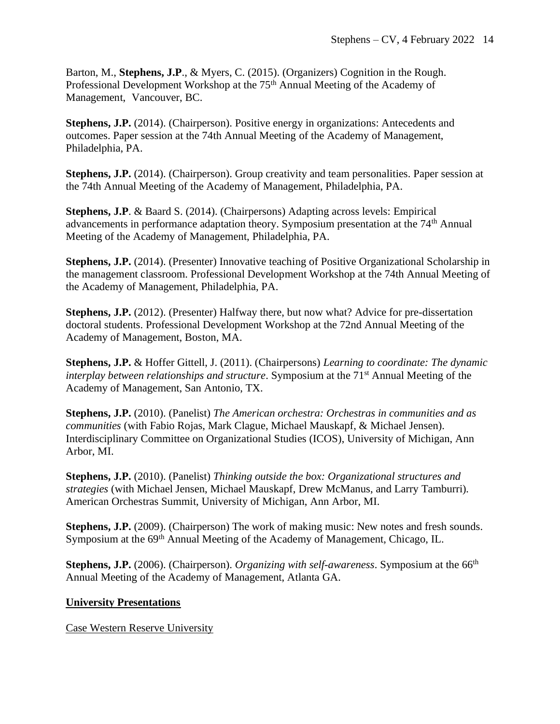Barton, M., **Stephens, J.P**., & Myers, C. (2015). (Organizers) Cognition in the Rough. Professional Development Workshop at the 75<sup>th</sup> Annual Meeting of the Academy of Management, Vancouver, BC.

**Stephens, J.P.** (2014). (Chairperson). Positive energy in organizations: Antecedents and outcomes. Paper session at the 74th Annual Meeting of the Academy of Management, Philadelphia, PA.

**Stephens, J.P.** (2014). (Chairperson). Group creativity and team personalities. Paper session at the 74th Annual Meeting of the Academy of Management, Philadelphia, PA.

**Stephens, J.P**. & Baard S. (2014). (Chairpersons) Adapting across levels: Empirical advancements in performance adaptation theory. Symposium presentation at the 74th Annual Meeting of the Academy of Management, Philadelphia, PA.

**Stephens, J.P.** (2014). (Presenter) Innovative teaching of Positive Organizational Scholarship in the management classroom. Professional Development Workshop at the 74th Annual Meeting of the Academy of Management, Philadelphia, PA.

**Stephens, J.P.** (2012). (Presenter) Halfway there, but now what? Advice for pre-dissertation doctoral students. Professional Development Workshop at the 72nd Annual Meeting of the Academy of Management, Boston, MA.

**Stephens, J.P.** & Hoffer Gittell, J. (2011). (Chairpersons) *Learning to coordinate: The dynamic interplay between relationships and structure.* Symposium at the 71<sup>st</sup> Annual Meeting of the Academy of Management, San Antonio, TX.

**Stephens, J.P.** (2010). (Panelist) *The American orchestra: Orchestras in communities and as communities* (with Fabio Rojas, Mark Clague, Michael Mauskapf, & Michael Jensen). Interdisciplinary Committee on Organizational Studies (ICOS), University of Michigan, Ann Arbor, MI.

**Stephens, J.P.** (2010). (Panelist) *Thinking outside the box: Organizational structures and strategies* (with Michael Jensen, Michael Mauskapf, Drew McManus, and Larry Tamburri)*.*  American Orchestras Summit, University of Michigan, Ann Arbor, MI.

**Stephens, J.P.** (2009). (Chairperson) The work of making music: New notes and fresh sounds. Symposium at the 69<sup>th</sup> Annual Meeting of the Academy of Management, Chicago, IL.

**Stephens, J.P.** (2006). (Chairperson). *Organizing with self-awareness*. Symposium at the 66<sup>th</sup> Annual Meeting of the Academy of Management, Atlanta GA.

## **University Presentations**

Case Western Reserve University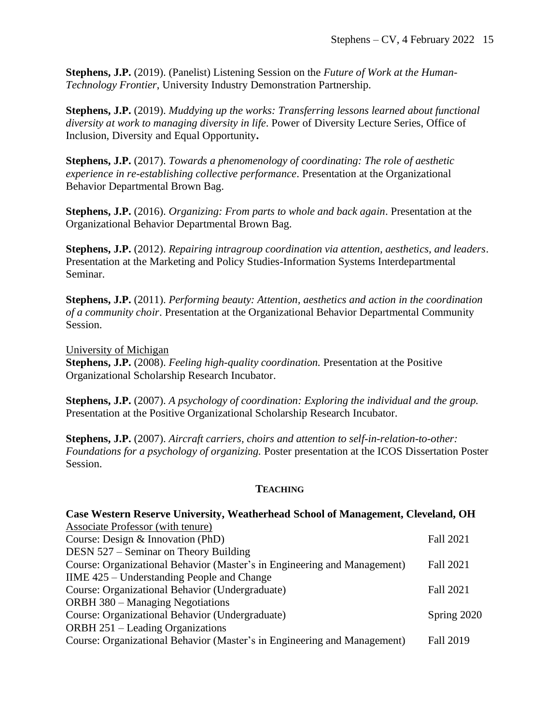**Stephens, J.P.** (2019). (Panelist) Listening Session on the *Future of Work at the Human-Technology Frontier*, University Industry Demonstration Partnership.

**Stephens, J.P.** (2019). *Muddying up the works: Transferring lessons learned about functional diversity at work to managing diversity in life*. Power of Diversity Lecture Series, Office of Inclusion, Diversity and Equal Opportunity**.**

**Stephens, J.P.** (2017). *Towards a phenomenology of coordinating: The role of aesthetic experience in re-establishing collective performance*. Presentation at the Organizational Behavior Departmental Brown Bag.

**Stephens, J.P.** (2016). *Organizing: From parts to whole and back again*. Presentation at the Organizational Behavior Departmental Brown Bag.

**Stephens, J.P.** (2012). *Repairing intragroup coordination via attention, aesthetics, and leaders*. Presentation at the Marketing and Policy Studies-Information Systems Interdepartmental Seminar.

**Stephens, J.P.** (2011). *Performing beauty: Attention, aesthetics and action in the coordination of a community choir*. Presentation at the Organizational Behavior Departmental Community Session.

University of Michigan

**Stephens, J.P.** (2008). *Feeling high-quality coordination.* Presentation at the Positive Organizational Scholarship Research Incubator.

**Stephens, J.P.** (2007). *A psychology of coordination: Exploring the individual and the group.* Presentation at the Positive Organizational Scholarship Research Incubator.

**Stephens, J.P.** (2007). *Aircraft carriers, choirs and attention to self-in-relation-to-other: Foundations for a psychology of organizing.* Poster presentation at the ICOS Dissertation Poster Session.

### **TEACHING**

| Case Western Reserve University, Weatherhead School of Management, Cleveland, OH |                  |  |
|----------------------------------------------------------------------------------|------------------|--|
| Associate Professor (with tenure)                                                |                  |  |
| Course: Design $&$ Innovation (PhD)                                              | <b>Fall 2021</b> |  |
| DESN 527 – Seminar on Theory Building                                            |                  |  |
| Course: Organizational Behavior (Master's in Engineering and Management)         | <b>Fall 2021</b> |  |
| IIME 425 – Understanding People and Change                                       |                  |  |
| Course: Organizational Behavior (Undergraduate)                                  | <b>Fall 2021</b> |  |
| <b>ORBH 380 – Managing Negotiations</b>                                          |                  |  |
| Course: Organizational Behavior (Undergraduate)                                  | Spring 2020      |  |
| <b>ORBH 251 – Leading Organizations</b>                                          |                  |  |
| Course: Organizational Behavior (Master's in Engineering and Management)         | Fall 2019        |  |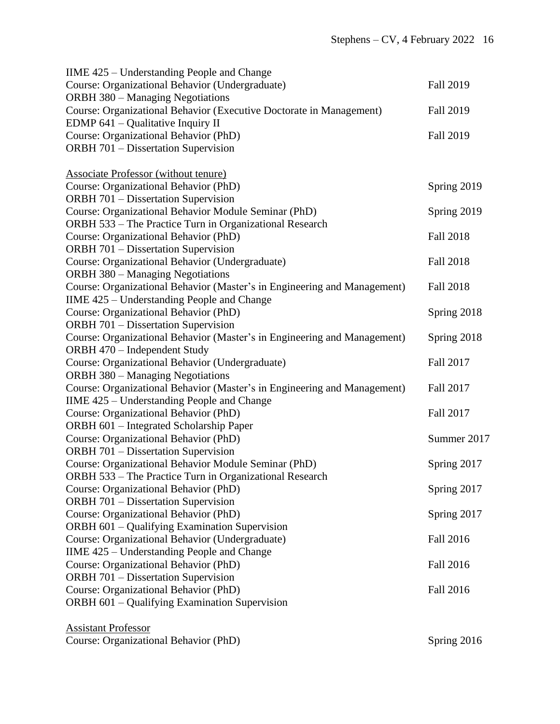| IIME 425 – Understanding People and Change                               |                  |
|--------------------------------------------------------------------------|------------------|
| Course: Organizational Behavior (Undergraduate)                          | Fall 2019        |
| <b>ORBH 380 - Managing Negotiations</b>                                  |                  |
| Course: Organizational Behavior (Executive Doctorate in Management)      | <b>Fall 2019</b> |
| EDMP $641$ – Qualitative Inquiry II                                      |                  |
| Course: Organizational Behavior (PhD)                                    | <b>Fall 2019</b> |
| <b>ORBH 701 – Dissertation Supervision</b>                               |                  |
|                                                                          |                  |
| <b>Associate Professor (without tenure)</b>                              |                  |
| Course: Organizational Behavior (PhD)                                    | Spring 2019      |
| <b>ORBH 701 - Dissertation Supervision</b>                               |                  |
| Course: Organizational Behavior Module Seminar (PhD)                     | Spring 2019      |
| ORBH 533 - The Practice Turn in Organizational Research                  |                  |
| Course: Organizational Behavior (PhD)                                    | <b>Fall 2018</b> |
| <b>ORBH 701 - Dissertation Supervision</b>                               |                  |
| Course: Organizational Behavior (Undergraduate)                          | <b>Fall 2018</b> |
| <b>ORBH 380 - Managing Negotiations</b>                                  |                  |
| Course: Organizational Behavior (Master's in Engineering and Management) | <b>Fall 2018</b> |
| IIME 425 – Understanding People and Change                               |                  |
| Course: Organizational Behavior (PhD)                                    | Spring 2018      |
| <b>ORBH 701 - Dissertation Supervision</b>                               |                  |
| Course: Organizational Behavior (Master's in Engineering and Management) | Spring 2018      |
| ORBH 470 - Independent Study                                             |                  |
| Course: Organizational Behavior (Undergraduate)                          | Fall 2017        |
| <b>ORBH 380 - Managing Negotiations</b>                                  |                  |
| Course: Organizational Behavior (Master's in Engineering and Management) | Fall 2017        |
| IIME 425 – Understanding People and Change                               |                  |
| Course: Organizational Behavior (PhD)                                    | Fall 2017        |
| ORBH 601 - Integrated Scholarship Paper                                  |                  |
| Course: Organizational Behavior (PhD)                                    | Summer 2017      |
| <b>ORBH 701 - Dissertation Supervision</b>                               |                  |
| Course: Organizational Behavior Module Seminar (PhD)                     | Spring 2017      |
| ORBH 533 - The Practice Turn in Organizational Research                  |                  |
| Course: Organizational Behavior (PhD)                                    | Spring 2017      |
| <b>ORBH</b> 701 – Dissertation Supervision                               |                  |
| Course: Organizational Behavior (PhD)                                    | Spring 2017      |
| ORBH 601 - Qualifying Examination Supervision                            |                  |
| Course: Organizational Behavior (Undergraduate)                          | Fall 2016        |
| IIME 425 – Understanding People and Change                               |                  |
| Course: Organizational Behavior (PhD)                                    | Fall 2016        |
| <b>ORBH 701 - Dissertation Supervision</b>                               |                  |
| Course: Organizational Behavior (PhD)                                    | Fall 2016        |
| ORBH 601 - Qualifying Examination Supervision                            |                  |
|                                                                          |                  |
| <b>Assistant Professor</b>                                               |                  |
| Course: Organizational Behavior (PhD)                                    | Spring 2016      |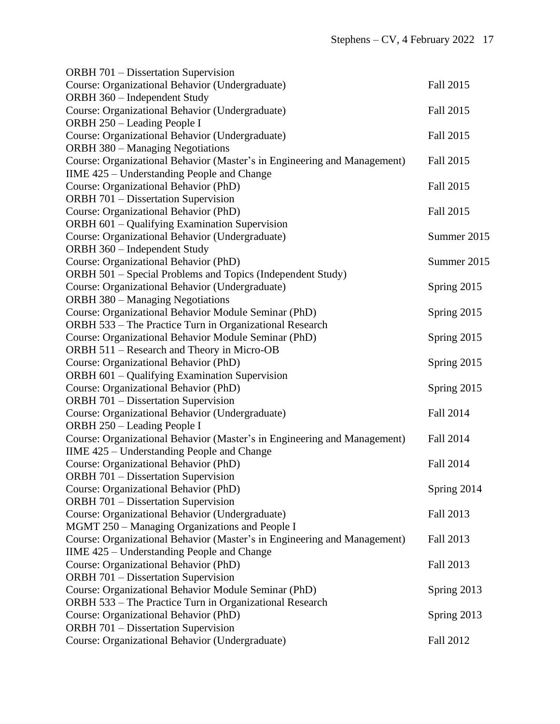| <b>ORBH 701 - Dissertation Supervision</b>                               |                  |
|--------------------------------------------------------------------------|------------------|
| Course: Organizational Behavior (Undergraduate)                          | Fall 2015        |
| ORBH 360 - Independent Study                                             |                  |
| Course: Organizational Behavior (Undergraduate)                          | Fall 2015        |
| ORBH 250 - Leading People I                                              |                  |
| Course: Organizational Behavior (Undergraduate)                          | Fall 2015        |
| <b>ORBH 380 - Managing Negotiations</b>                                  |                  |
| Course: Organizational Behavior (Master's in Engineering and Management) | Fall 2015        |
| IIME 425 – Understanding People and Change                               |                  |
| Course: Organizational Behavior (PhD)                                    | Fall 2015        |
| <b>ORBH 701 - Dissertation Supervision</b>                               |                  |
| Course: Organizational Behavior (PhD)                                    | Fall 2015        |
| ORBH 601 - Qualifying Examination Supervision                            |                  |
| Course: Organizational Behavior (Undergraduate)                          | Summer 2015      |
| ORBH 360 - Independent Study                                             |                  |
| Course: Organizational Behavior (PhD)                                    | Summer 2015      |
| ORBH 501 – Special Problems and Topics (Independent Study)               |                  |
| Course: Organizational Behavior (Undergraduate)                          | Spring 2015      |
| <b>ORBH 380 – Managing Negotiations</b>                                  |                  |
| Course: Organizational Behavior Module Seminar (PhD)                     | Spring 2015      |
| ORBH 533 - The Practice Turn in Organizational Research                  |                  |
| Course: Organizational Behavior Module Seminar (PhD)                     | Spring 2015      |
| ORBH 511 – Research and Theory in Micro-OB                               |                  |
| Course: Organizational Behavior (PhD)                                    | Spring 2015      |
| ORBH 601 - Qualifying Examination Supervision                            |                  |
| Course: Organizational Behavior (PhD)                                    | Spring 2015      |
| <b>ORBH 701 - Dissertation Supervision</b>                               |                  |
| Course: Organizational Behavior (Undergraduate)                          | Fall 2014        |
| ORBH 250 - Leading People I                                              |                  |
| Course: Organizational Behavior (Master's in Engineering and Management) | Fall 2014        |
| IIME 425 - Understanding People and Change                               |                  |
| Course: Organizational Behavior (PhD)                                    | <b>Fall 2014</b> |
| ORBH 701 - Dissertation Supervision                                      |                  |
| Course: Organizational Behavior (PhD)                                    | Spring 2014      |
| <b>ORBH</b> 701 – Dissertation Supervision                               |                  |
| Course: Organizational Behavior (Undergraduate)                          | Fall 2013        |
| MGMT 250 - Managing Organizations and People I                           |                  |
| Course: Organizational Behavior (Master's in Engineering and Management) | Fall 2013        |
| IIME 425 - Understanding People and Change                               |                  |
| Course: Organizational Behavior (PhD)                                    | Fall 2013        |
| ORBH 701 - Dissertation Supervision                                      |                  |
| Course: Organizational Behavior Module Seminar (PhD)                     | Spring 2013      |
| ORBH 533 – The Practice Turn in Organizational Research                  |                  |
| Course: Organizational Behavior (PhD)                                    | Spring 2013      |
| <b>ORBH 701 - Dissertation Supervision</b>                               |                  |
| Course: Organizational Behavior (Undergraduate)                          | Fall 2012        |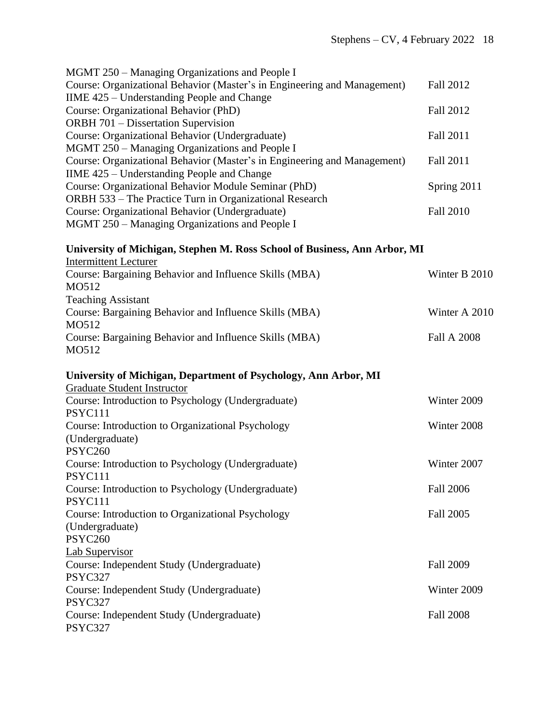| MGMT 250 – Managing Organizations and People I                                                     |                    |
|----------------------------------------------------------------------------------------------------|--------------------|
| Course: Organizational Behavior (Master's in Engineering and Management)                           | Fall 2012          |
| IIME 425 - Understanding People and Change                                                         |                    |
| Course: Organizational Behavior (PhD)                                                              | Fall 2012          |
| <b>ORBH 701 - Dissertation Supervision</b>                                                         |                    |
| Course: Organizational Behavior (Undergraduate)                                                    | Fall 2011          |
| MGMT 250 – Managing Organizations and People I                                                     |                    |
| Course: Organizational Behavior (Master's in Engineering and Management)                           | Fall 2011          |
| IIME 425 – Understanding People and Change<br>Course: Organizational Behavior Module Seminar (PhD) |                    |
| ORBH 533 - The Practice Turn in Organizational Research                                            | Spring 2011        |
| Course: Organizational Behavior (Undergraduate)                                                    | <b>Fall 2010</b>   |
| MGMT 250 – Managing Organizations and People I                                                     |                    |
| University of Michigan, Stephen M. Ross School of Business, Ann Arbor, MI                          |                    |
| <b>Intermittent Lecturer</b>                                                                       |                    |
| Course: Bargaining Behavior and Influence Skills (MBA)<br>MO512                                    | Winter B 2010      |
| <b>Teaching Assistant</b>                                                                          |                    |
| Course: Bargaining Behavior and Influence Skills (MBA)<br>MO512                                    | Winter A 2010      |
| Course: Bargaining Behavior and Influence Skills (MBA)<br>MO512                                    | <b>Fall A 2008</b> |
| University of Michigan, Department of Psychology, Ann Arbor, MI                                    |                    |
| <b>Graduate Student Instructor</b>                                                                 |                    |
| Course: Introduction to Psychology (Undergraduate)<br>PSYC111                                      | Winter 2009        |
| Course: Introduction to Organizational Psychology                                                  | Winter 2008        |
| (Undergraduate)                                                                                    |                    |
| <b>PSYC260</b>                                                                                     |                    |
| Course: Introduction to Psychology (Undergraduate)<br><b>PSYC111</b>                               | Winter 2007        |
| Course: Introduction to Psychology (Undergraduate)                                                 | <b>Fall 2006</b>   |
| PSYC111                                                                                            |                    |
| Course: Introduction to Organizational Psychology                                                  | Fall 2005          |
| (Undergraduate)                                                                                    |                    |
| PSYC260                                                                                            |                    |
| <b>Lab Supervisor</b><br>Course: Independent Study (Undergraduate)                                 | <b>Fall 2009</b>   |
| PSYC327                                                                                            |                    |
| Course: Independent Study (Undergraduate)                                                          | Winter 2009        |
| PSYC327                                                                                            |                    |
| Course: Independent Study (Undergraduate)                                                          | <b>Fall 2008</b>   |
| PSYC327                                                                                            |                    |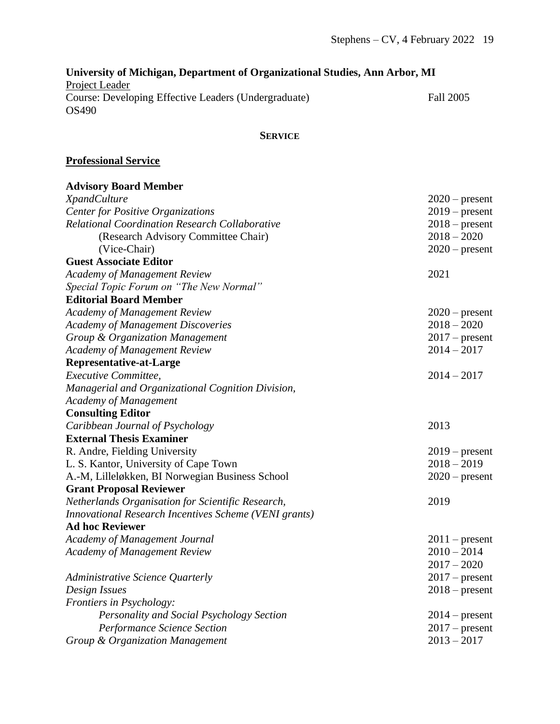# **University of Michigan, Department of Organizational Studies, Ann Arbor, MI** Project Leader Course: Developing Effective Leaders (Undergraduate) Fall 2005 OS490

## **SERVICE**

### **Professional Service**

| <b>Advisory Board Member</b>                          |                  |
|-------------------------------------------------------|------------------|
| <b>XpandCulture</b>                                   | $2020$ – present |
| <b>Center for Positive Organizations</b>              | $2019$ – present |
| <b>Relational Coordination Research Collaborative</b> | $2018$ – present |
| (Research Advisory Committee Chair)                   | $2018 - 2020$    |
| (Vice-Chair)                                          | $2020$ – present |
| <b>Guest Associate Editor</b>                         |                  |
| <b>Academy of Management Review</b>                   | 2021             |
| Special Topic Forum on "The New Normal"               |                  |
| <b>Editorial Board Member</b>                         |                  |
| <b>Academy of Management Review</b>                   | $2020$ – present |
| <b>Academy of Management Discoveries</b>              | $2018 - 2020$    |
| Group & Organization Management                       | $2017$ – present |
| <b>Academy of Management Review</b>                   | $2014 - 2017$    |
| <b>Representative-at-Large</b>                        |                  |
| Executive Committee,                                  | $2014 - 2017$    |
| Managerial and Organizational Cognition Division,     |                  |
| <b>Academy of Management</b>                          |                  |
| <b>Consulting Editor</b>                              |                  |
| Caribbean Journal of Psychology                       | 2013             |
| <b>External Thesis Examiner</b>                       |                  |
| R. Andre, Fielding University                         | $2019$ – present |
| L. S. Kantor, University of Cape Town                 | $2018 - 2019$    |
| A.-M, Lilleløkken, BI Norwegian Business School       | $2020$ – present |
| <b>Grant Proposal Reviewer</b>                        |                  |
| Netherlands Organisation for Scientific Research,     | 2019             |
| Innovational Research Incentives Scheme (VENI grants) |                  |
| <b>Ad hoc Reviewer</b>                                |                  |
| Academy of Management Journal                         | $2011$ – present |
| <b>Academy of Management Review</b>                   | $2010 - 2014$    |
|                                                       | $2017 - 2020$    |
| Administrative Science Quarterly                      | $2017$ – present |
| Design Issues                                         | $2018$ – present |
| Frontiers in Psychology:                              |                  |
| Personality and Social Psychology Section             | $2014$ – present |
| Performance Science Section                           | $2017$ – present |
| Group & Organization Management                       | $2013 - 2017$    |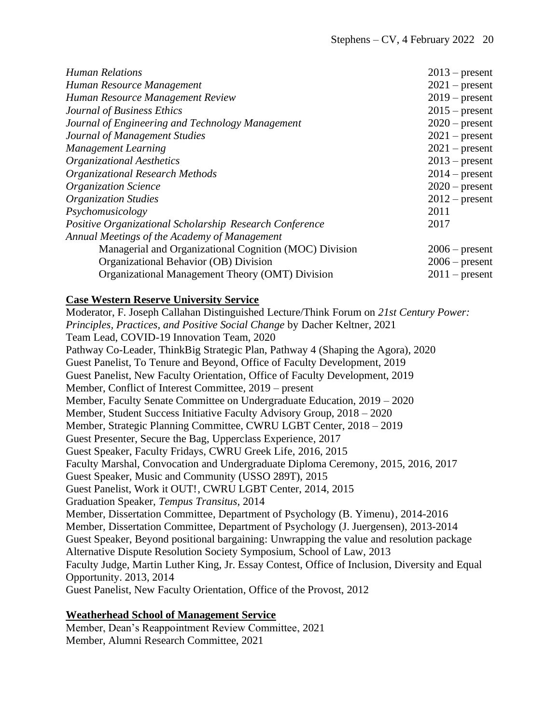| <b>Human Relations</b>                                  | $2013$ – present |
|---------------------------------------------------------|------------------|
| Human Resource Management                               | $2021$ – present |
| Human Resource Management Review                        | $2019$ – present |
| Journal of Business Ethics                              | $2015$ – present |
| Journal of Engineering and Technology Management        | $2020$ – present |
| Journal of Management Studies                           | $2021$ – present |
| <b>Management Learning</b>                              | $2021$ – present |
| <b>Organizational Aesthetics</b>                        | $2013$ – present |
| Organizational Research Methods                         | $2014$ – present |
| <b>Organization Science</b>                             | $2020$ – present |
| <b>Organization Studies</b>                             | $2012$ – present |
| Psychomusicology                                        | 2011             |
| Positive Organizational Scholarship Research Conference | 2017             |
| Annual Meetings of the Academy of Management            |                  |
| Managerial and Organizational Cognition (MOC) Division  | $2006$ – present |
| Organizational Behavior (OB) Division                   | $2006$ – present |
| Organizational Management Theory (OMT) Division         | $2011$ – present |

#### **Case Western Reserve University Service**

Moderator, F. Joseph Callahan Distinguished Lecture/Think Forum on *21st Century Power: Principles, Practices, and Positive Social Change* by Dacher Keltner, 2021 Team Lead, COVID-19 Innovation Team, 2020 Pathway Co-Leader, ThinkBig Strategic Plan, Pathway 4 (Shaping the Agora), 2020 Guest Panelist, To Tenure and Beyond, Office of Faculty Development, 2019 Guest Panelist, New Faculty Orientation, Office of Faculty Development, 2019 Member, Conflict of Interest Committee, 2019 – present Member, Faculty Senate Committee on Undergraduate Education, 2019 – 2020 Member, Student Success Initiative Faculty Advisory Group, 2018 – 2020 Member, Strategic Planning Committee, CWRU LGBT Center, 2018 – 2019 Guest Presenter, Secure the Bag, Upperclass Experience, 2017 Guest Speaker, Faculty Fridays, CWRU Greek Life, 2016, 2015 Faculty Marshal, Convocation and Undergraduate Diploma Ceremony, 2015, 2016, 2017 Guest Speaker, Music and Community (USSO 289T), 2015 Guest Panelist, Work it OUT!, CWRU LGBT Center, 2014, 2015 Graduation Speaker, *Tempus Transitus*, 2014 Member, Dissertation Committee, Department of Psychology (B. Yimenu), 2014-2016 Member, Dissertation Committee, Department of Psychology (J. Juergensen), 2013-2014 Guest Speaker, Beyond positional bargaining: Unwrapping the value and resolution package Alternative Dispute Resolution Society Symposium, School of Law, 2013 Faculty Judge, Martin Luther King, Jr. Essay Contest, Office of Inclusion, Diversity and Equal Opportunity. 2013, 2014 Guest Panelist, New Faculty Orientation, Office of the Provost, 2012

#### **Weatherhead School of Management Service**

Member, Dean's Reappointment Review Committee, 2021 Member, Alumni Research Committee, 2021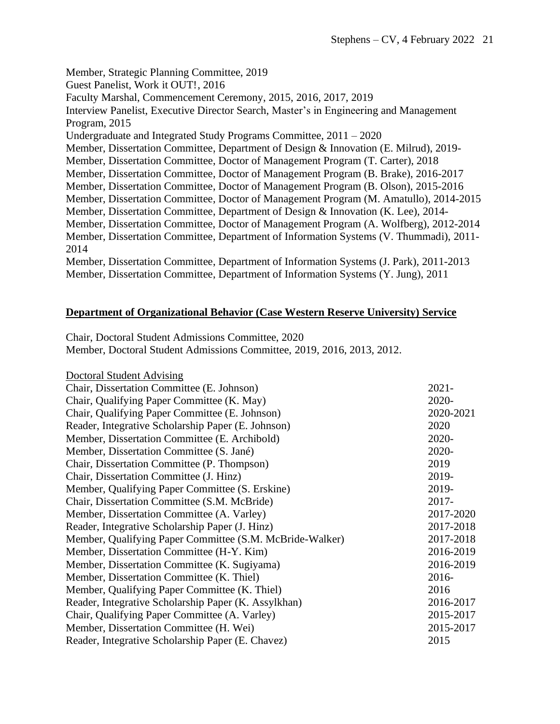Member, Strategic Planning Committee, 2019 Guest Panelist, Work it OUT!, 2016 Faculty Marshal, Commencement Ceremony, 2015, 2016, 2017, 2019 Interview Panelist, Executive Director Search, Master's in Engineering and Management Program, 2015 Undergraduate and Integrated Study Programs Committee, 2011 – 2020 Member, Dissertation Committee, Department of Design & Innovation (E. Milrud), 2019- Member, Dissertation Committee, Doctor of Management Program (T. Carter), 2018 Member, Dissertation Committee, Doctor of Management Program (B. Brake), 2016-2017 Member, Dissertation Committee, Doctor of Management Program (B. Olson), 2015-2016 Member, Dissertation Committee, Doctor of Management Program (M. Amatullo), 2014-2015 Member, Dissertation Committee, Department of Design & Innovation (K. Lee), 2014- Member, Dissertation Committee, Doctor of Management Program (A. Wolfberg), 2012-2014 Member, Dissertation Committee, Department of Information Systems (V. Thummadi), 2011- 2014 Member, Dissertation Committee, Department of Information Systems (J. Park), 2011-2013 Member, Dissertation Committee, Department of Information Systems (Y. Jung), 2011

### **Department of Organizational Behavior (Case Western Reserve University) Service**

Chair, Doctoral Student Admissions Committee, 2020 Member, Doctoral Student Admissions Committee, 2019, 2016, 2013, 2012.

| <b>Doctoral Student Advising</b> |  |  |
|----------------------------------|--|--|
|                                  |  |  |

| Chair, Dissertation Committee (E. Johnson)               | $2021 -$  |
|----------------------------------------------------------|-----------|
| Chair, Qualifying Paper Committee (K. May)               | 2020-     |
| Chair, Qualifying Paper Committee (E. Johnson)           | 2020-2021 |
| Reader, Integrative Scholarship Paper (E. Johnson)       | 2020      |
| Member, Dissertation Committee (E. Archibold)            | 2020-     |
| Member, Dissertation Committee (S. Jané)                 | 2020-     |
| Chair, Dissertation Committee (P. Thompson)              | 2019      |
| Chair, Dissertation Committee (J. Hinz)                  | 2019-     |
| Member, Qualifying Paper Committee (S. Erskine)          | 2019-     |
| Chair, Dissertation Committee (S.M. McBride)             | 2017-     |
| Member, Dissertation Committee (A. Varley)               | 2017-2020 |
| Reader, Integrative Scholarship Paper (J. Hinz)          | 2017-2018 |
| Member, Qualifying Paper Committee (S.M. McBride-Walker) | 2017-2018 |
| Member, Dissertation Committee (H-Y. Kim)                | 2016-2019 |
| Member, Dissertation Committee (K. Sugiyama)             | 2016-2019 |
| Member, Dissertation Committee (K. Thiel)                | $2016 -$  |
| Member, Qualifying Paper Committee (K. Thiel)            | 2016      |
| Reader, Integrative Scholarship Paper (K. Assylkhan)     | 2016-2017 |
| Chair, Qualifying Paper Committee (A. Varley)            | 2015-2017 |
| Member, Dissertation Committee (H. Wei)                  | 2015-2017 |
| Reader, Integrative Scholarship Paper (E. Chavez)        | 2015      |
|                                                          |           |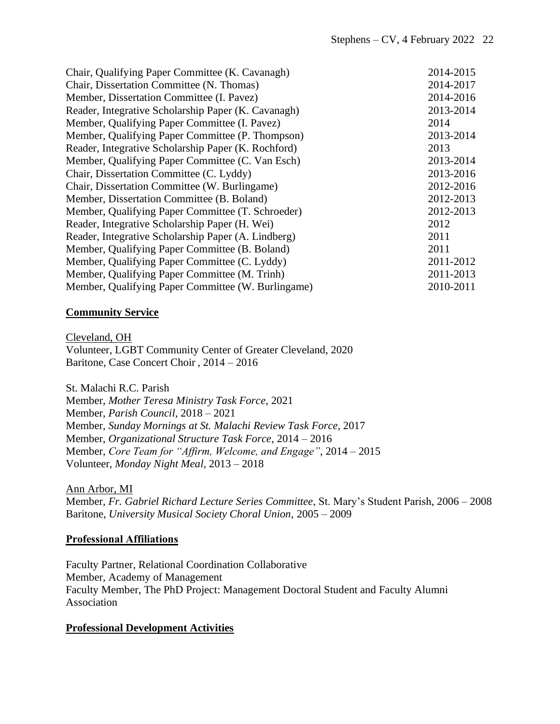| 2014-2015 |
|-----------|
| 2014-2017 |
| 2014-2016 |
| 2013-2014 |
| 2014      |
| 2013-2014 |
| 2013      |
| 2013-2014 |
| 2013-2016 |
| 2012-2016 |
| 2012-2013 |
| 2012-2013 |
| 2012      |
| 2011      |
| 2011      |
| 2011-2012 |
| 2011-2013 |
| 2010-2011 |
|           |

### **Community Service**

Cleveland, OH Volunteer, LGBT Community Center of Greater Cleveland, 2020 Baritone, Case Concert Choir , 2014 – 2016

St. Malachi R.C. Parish Member, *Mother Teresa Ministry Task Force*, 2021

Member, *Parish Council,* 2018 – 2021 Member, *Sunday Mornings at St. Malachi Review Task Force*, 2017 Member, *Organizational Structure Task Force*, 2014 – 2016 Member, *Core Team for "Affirm, Welcome, and Engage"*, 2014 – 2015 Volunteer, *Monday Night Meal*, 2013 – 2018

Ann Arbor, MI

Member, *Fr. Gabriel Richard Lecture Series Committee*, St. Mary's Student Parish, 2006 – 2008 Baritone, *University Musical Society Choral Union*, 2005 – 2009

## **Professional Affiliations**

Faculty Partner, Relational Coordination Collaborative Member, Academy of Management Faculty Member, The PhD Project: Management Doctoral Student and Faculty Alumni Association

## **Professional Development Activities**